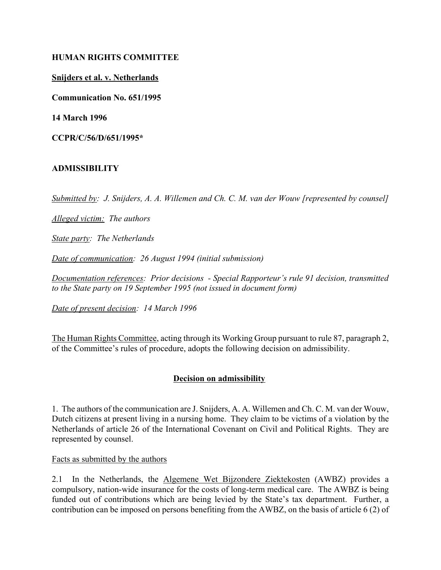#### **HUMAN RIGHTS COMMITTEE**

#### **Snijders et al. v. Netherlands**

**Communication No. 651/1995**

**14 March 1996**

**CCPR/C/56/D/651/1995\***

## **ADMISSIBILITY**

*Submitted by: J. Snijders, A. A. Willemen and Ch. C. M. van der Wouw [represented by counsel]*

*Alleged victim: The authors*

*State party: The Netherlands*

*Date of communication: 26 August 1994 (initial submission)* 

*Documentation references: Prior decisions - Special Rapporteur's rule 91 decision, transmitted to the State party on 19 September 1995 (not issued in document form)*

*Date of present decision: 14 March 1996*

The Human Rights Committee, acting through its Working Group pursuant to rule 87, paragraph 2, of the Committee's rules of procedure, adopts the following decision on admissibility.

## **Decision on admissibility**

1. The authors of the communication are J. Snijders, A. A. Willemen and Ch. C. M. van der Wouw, Dutch citizens at present living in a nursing home. They claim to be victims of a violation by the Netherlands of article 26 of the International Covenant on Civil and Political Rights. They are represented by counsel.

Facts as submitted by the authors

2.1 In the Netherlands, the Algemene Wet Bijzondere Ziektekosten (AWBZ) provides a compulsory, nation-wide insurance for the costs of long-term medical care. The AWBZ is being funded out of contributions which are being levied by the State's tax department. Further, a contribution can be imposed on persons benefiting from the AWBZ, on the basis of article 6 (2) of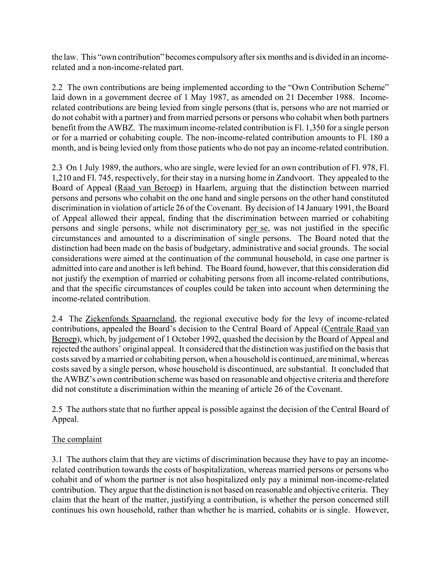the law. This "own contribution" becomes compulsory after six months and is divided in an incomerelated and a non-income-related part.

2.2 The own contributions are being implemented according to the "Own Contribution Scheme" laid down in a government decree of 1 May 1987, as amended on 21 December 1988. Incomerelated contributions are being levied from single persons (that is, persons who are not married or do not cohabit with a partner) and from married persons or persons who cohabit when both partners benefit from the AWBZ. The maximum income-related contribution is Fl. 1,350 for a single person or for a married or cohabiting couple. The non-income-related contribution amounts to Fl. 180 a month, and is being levied only from those patients who do not pay an income-related contribution.

2.3 On 1 July 1989, the authors, who are single, were levied for an own contribution of Fl. 978, Fl. 1,210 and Fl. 745, respectively, for their stay in a nursing home in Zandvoort. They appealed to the Board of Appeal (Raad van Beroep) in Haarlem, arguing that the distinction between married persons and persons who cohabit on the one hand and single persons on the other hand constituted discrimination in violation of article 26 of the Covenant. By decision of 14 January 1991, the Board of Appeal allowed their appeal, finding that the discrimination between married or cohabiting persons and single persons, while not discriminatory per se, was not justified in the specific circumstances and amounted to a discrimination of single persons. The Board noted that the distinction had been made on the basis of budgetary, administrative and social grounds. The social considerations were aimed at the continuation of the communal household, in case one partner is admitted into care and another is left behind. The Board found, however, that this consideration did not justify the exemption of married or cohabiting persons from all income-related contributions, and that the specific circumstances of couples could be taken into account when determining the income-related contribution.

2.4 The Ziekenfonds Spaarneland, the regional executive body for the levy of income-related contributions, appealed the Board's decision to the Central Board of Appeal (Centrale Raad van Beroep), which, by judgement of 1 October 1992, quashed the decision by the Board of Appeal and rejected the authors' original appeal. It considered that the distinction was justified on the basis that costs saved by a married or cohabiting person, when a household is continued, are minimal, whereas costs saved by a single person, whose household is discontinued, are substantial. It concluded that the AWBZ's own contribution scheme was based on reasonable and objective criteria and therefore did not constitute a discrimination within the meaning of article 26 of the Covenant.

2.5 The authors state that no further appeal is possible against the decision of the Central Board of Appeal.

# The complaint

3.1 The authors claim that they are victims of discrimination because they have to pay an incomerelated contribution towards the costs of hospitalization, whereas married persons or persons who cohabit and of whom the partner is not also hospitalized only pay a minimal non-income-related contribution. They argue that the distinction is not based on reasonable and objective criteria. They claim that the heart of the matter, justifying a contribution, is whether the person concerned still continues his own household, rather than whether he is married, cohabits or is single. However,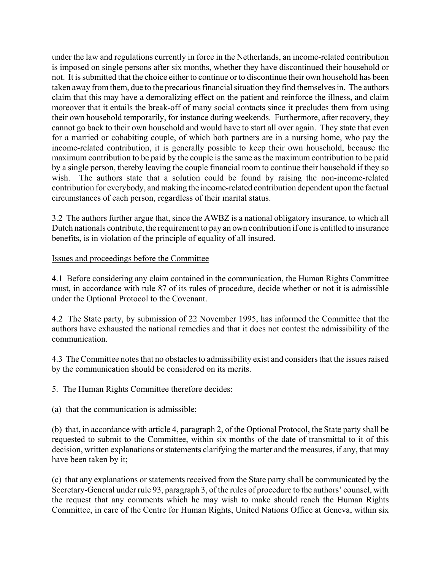under the law and regulations currently in force in the Netherlands, an income-related contribution is imposed on single persons after six months, whether they have discontinued their household or not. It is submitted that the choice either to continue or to discontinue their own household has been taken away from them, due to the precarious financial situation they find themselves in. The authors claim that this may have a demoralizing effect on the patient and reinforce the illness, and claim moreover that it entails the break-off of many social contacts since it precludes them from using their own household temporarily, for instance during weekends. Furthermore, after recovery, they cannot go back to their own household and would have to start all over again. They state that even for a married or cohabiting couple, of which both partners are in a nursing home, who pay the income-related contribution, it is generally possible to keep their own household, because the maximum contribution to be paid by the couple is the same as the maximum contribution to be paid by a single person, thereby leaving the couple financial room to continue their household if they so wish. The authors state that a solution could be found by raising the non-income-related contribution for everybody, and making the income-related contribution dependent upon the factual circumstances of each person, regardless of their marital status.

3.2 The authors further argue that, since the AWBZ is a national obligatory insurance, to which all Dutch nationals contribute, the requirement to pay an own contribution if one is entitled to insurance benefits, is in violation of the principle of equality of all insured.

## Issues and proceedings before the Committee

4.1 Before considering any claim contained in the communication, the Human Rights Committee must, in accordance with rule 87 of its rules of procedure, decide whether or not it is admissible under the Optional Protocol to the Covenant.

4.2 The State party, by submission of 22 November 1995, has informed the Committee that the authors have exhausted the national remedies and that it does not contest the admissibility of the communication.

4.3 The Committee notes that no obstacles to admissibility exist and considers that the issues raised by the communication should be considered on its merits.

5. The Human Rights Committee therefore decides:

(a) that the communication is admissible;

(b) that, in accordance with article 4, paragraph 2, of the Optional Protocol, the State party shall be requested to submit to the Committee, within six months of the date of transmittal to it of this decision, written explanations or statements clarifying the matter and the measures, if any, that may have been taken by it;

(c) that any explanations or statements received from the State party shall be communicated by the Secretary-General under rule 93, paragraph 3, of the rules of procedure to the authors' counsel, with the request that any comments which he may wish to make should reach the Human Rights Committee, in care of the Centre for Human Rights, United Nations Office at Geneva, within six